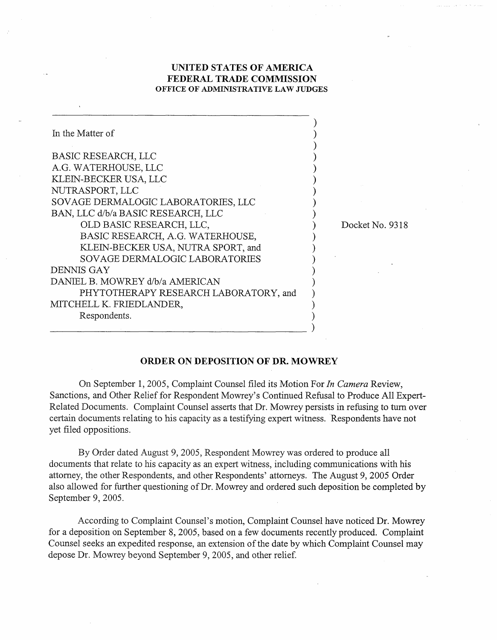## **UNITED STATES OF AMERICA FEDERAL TRADE COMMISSION OFFICE OF ADMINISTRATIVE LAW JUDGES**

| In the Matter of                      |  |
|---------------------------------------|--|
| <b>BASIC RESEARCH, LLC</b>            |  |
| A.G. WATERHOUSE, LLC                  |  |
| KLEIN-BECKER USA, LLC                 |  |
| NUTRASPORT, LLC                       |  |
| SOVAGE DERMALOGIC LABORATORIES, LLC   |  |
| BAN, LLC d/b/a BASIC RESEARCH, LLC    |  |
| OLD BASIC RESEARCH, LLC,              |  |
| BASIC RESEARCH, A.G. WATERHOUSE,      |  |
| KLEIN-BECKER USA, NUTRA SPORT, and    |  |
| SOVAGE DERMALOGIC LABORATORIES        |  |
| DENNIS GAY                            |  |
| DANIEL B. MOWREY d/b/a AMERICAN       |  |
| PHYTOTHERAPY RESEARCH LABORATORY, and |  |
| MITCHELL K. FRIEDLANDER,              |  |
| Respondents.                          |  |
|                                       |  |

Docket No. 9318

## **ORDER ON DEPOSITION OF DR. MOWREY**

On September 1,2005, Complaint Counsel filed its Motion For In *Camera* Review, Sanctions, and Other Relief for Respondent Mowrey's Continued Refusal to Produce All Expert-Related Documents. Complaint Counsel asserts that Dr. Mowrey persists in refusing to turn over certain documents relating to his capacity as a testifying expert witness. Respondents have not yet filed oppositions.

By Order dated August 9,2005, Respondent Mowrey was ordered to produce all documents that relate to his capacity as an expert witness, including communications with his attorney, the other Respondents, and other Respondents' attorneys. The August 9, 2005 Order also allowed for further questioning of Dr. Mowrey and ordered such deposition be completed by September 9, 2005.

According to Complaint Counsel's motion, Complaint Counsel have noticed Dr. Mowrey for a deposition on September 8,2005, based on a few documents recently produced. Complaint Counsel seeks an expedited response, an extension of the date by which Complaint Counsel may depose Dr. Mowrey beyond September 9,2005, and other relief.